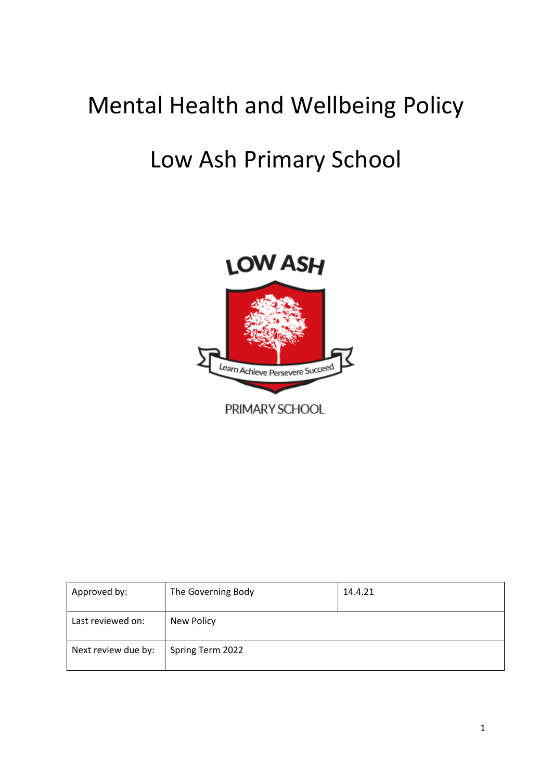# Mental Health and Wellbeing Policy

## Low Ash Primary School



| Approved by:        | The Governing Body | 14.4.21 |
|---------------------|--------------------|---------|
| Last reviewed on:   | New Policy         |         |
| Next review due by: | Spring Term 2022   |         |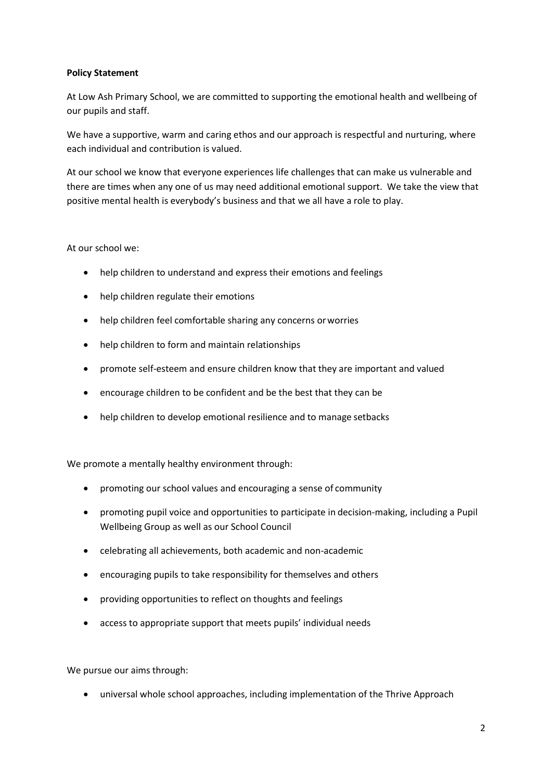## **Policy Statement**

At Low Ash Primary School, we are committed to supporting the emotional health and wellbeing of our pupils and staff.

We have a supportive, warm and caring ethos and our approach is respectful and nurturing, where each individual and contribution is valued.

At our school we know that everyone experiences life challenges that can make us vulnerable and there are times when any one of us may need additional emotional support. We take the view that positive mental health is everybody's business and that we all have a role to play.

## At our school we:

- help children to understand and express their emotions and feelings
- help children regulate their emotions
- help children feel comfortable sharing any concerns orworries
- help children to form and maintain relationships
- promote self-esteem and ensure children know that they are important and valued
- encourage children to be confident and be the best that they can be
- help children to develop emotional resilience and to manage setbacks

We promote a mentally healthy environment through:

- promoting our school values and encouraging a sense of community
- promoting pupil voice and opportunities to participate in decision-making, including a Pupil Wellbeing Group as well as our School Council
- celebrating all achievements, both academic and non-academic
- encouraging pupils to take responsibility for themselves and others
- providing opportunities to reflect on thoughts and feelings
- access to appropriate support that meets pupils' individual needs

We pursue our aims through:

• universal whole school approaches, including implementation of the Thrive Approach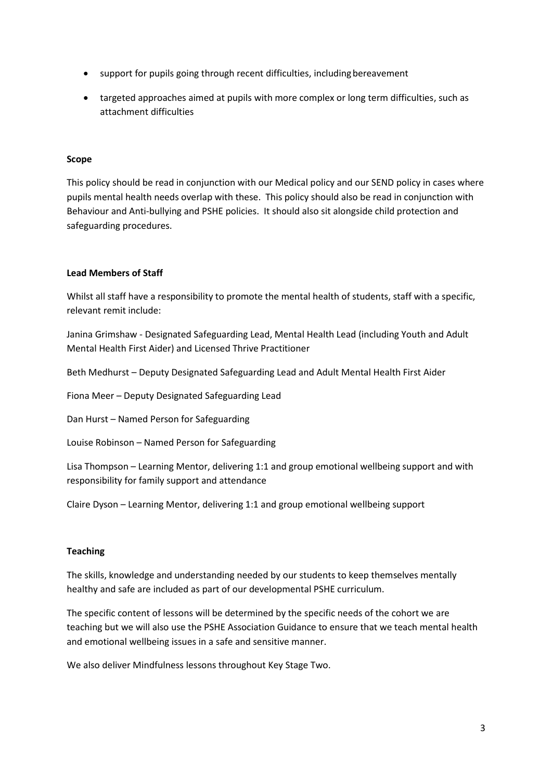- support for pupils going through recent difficulties, including bereavement
- targeted approaches aimed at pupils with more complex or long term difficulties, such as attachment difficulties

## **Scope**

This policy should be read in conjunction with our Medical policy and our SEND policy in cases where pupils mental health needs overlap with these. This policy should also be read in conjunction with Behaviour and Anti-bullying and PSHE policies. It should also sit alongside child protection and safeguarding procedures.

## **Lead Members of Staff**

Whilst all staff have a responsibility to promote the mental health of students, staff with a specific, relevant remit include:

Janina Grimshaw - Designated Safeguarding Lead, Mental Health Lead (including Youth and Adult Mental Health First Aider) and Licensed Thrive Practitioner

Beth Medhurst – Deputy Designated Safeguarding Lead and Adult Mental Health First Aider

Fiona Meer – Deputy Designated Safeguarding Lead

Dan Hurst – Named Person for Safeguarding

Louise Robinson – Named Person for Safeguarding

Lisa Thompson – Learning Mentor, delivering 1:1 and group emotional wellbeing support and with responsibility for family support and attendance

Claire Dyson – Learning Mentor, delivering 1:1 and group emotional wellbeing support

#### **Teaching**

The skills, knowledge and understanding needed by our students to keep themselves mentally healthy and safe are included as part of our developmental PSHE curriculum.

The specific content of lessons will be determined by the specific needs of the cohort we are teaching but we will also use the PSHE Association Guidance to ensure that we teach mental health and emotional wellbeing issues in a safe and sensitive manner.

We also deliver Mindfulness lessons throughout Key Stage Two.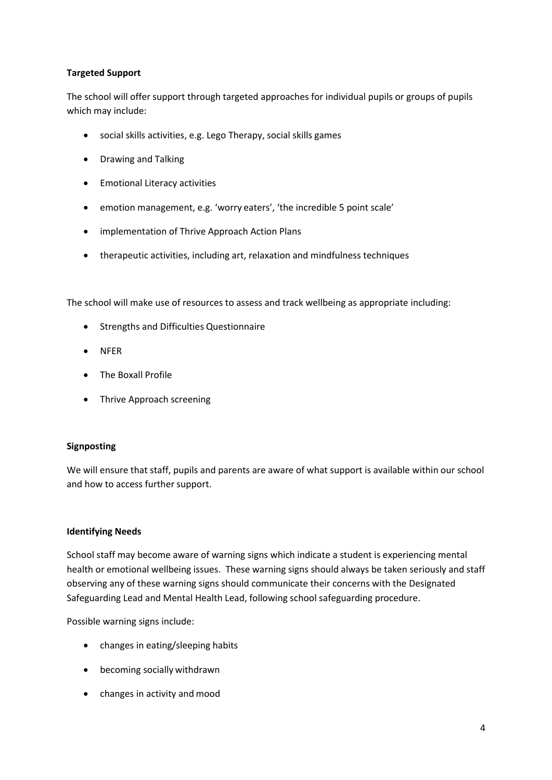## **Targeted Support**

The school will offer support through targeted approaches for individual pupils or groups of pupils which may include:

- social skills activities, e.g. Lego Therapy, social skills games
- Drawing and Talking
- Emotional Literacy activities
- emotion management, e.g. 'worry eaters', 'the incredible 5 point scale'
- implementation of Thrive Approach Action Plans
- therapeutic activities, including art, relaxation and mindfulness techniques

The school will make use of resources to assess and track wellbeing as appropriate including:

- Strengths and Difficulties Questionnaire
- NFER
- The Boxall Profile
- Thrive Approach screening

#### **Signposting**

We will ensure that staff, pupils and parents are aware of what support is available within our school and how to access further support.

## **Identifying Needs**

School staff may become aware of warning signs which indicate a student is experiencing mental health or emotional wellbeing issues. These warning signs should always be taken seriously and staff observing any of these warning signs should communicate their concerns with the Designated Safeguarding Lead and Mental Health Lead, following school safeguarding procedure.

Possible warning signs include:

- changes in eating/sleeping habits
- becoming socially withdrawn
- changes in activity and mood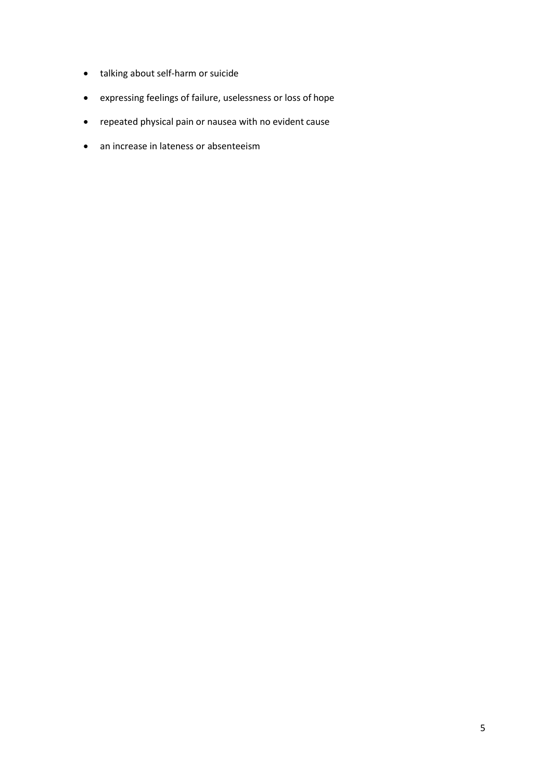- talking about self-harm or suicide
- expressing feelings of failure, uselessness or loss of hope
- repeated physical pain or nausea with no evident cause
- an increase in lateness or absenteeism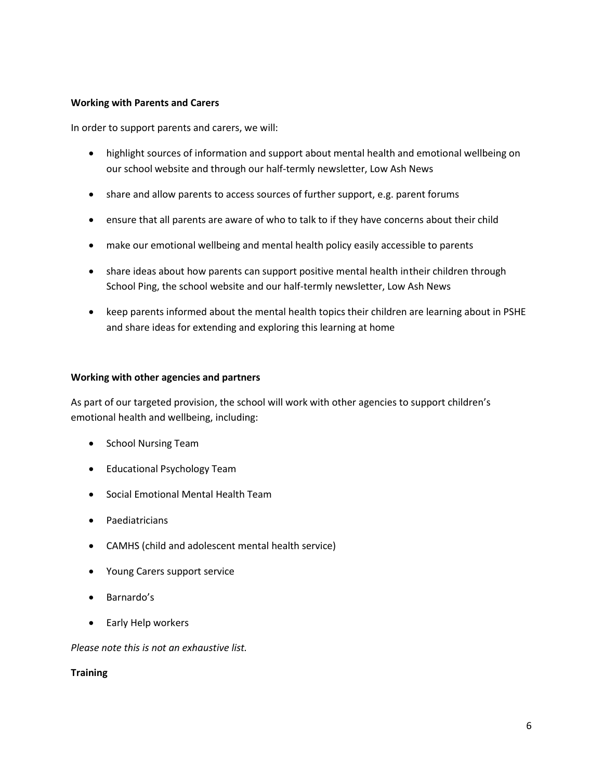#### **Working with Parents and Carers**

In order to support parents and carers, we will:

- highlight sources of information and support about mental health and emotional wellbeing on our school website and through our half-termly newsletter, Low Ash News
- share and allow parents to access sources of further support, e.g. parent forums
- ensure that all parents are aware of who to talk to if they have concerns about their child
- make our emotional wellbeing and mental health policy easily accessible to parents
- share ideas about how parents can support positive mental health intheir children through School Ping, the school website and our half-termly newsletter, Low Ash News
- keep parents informed about the mental health topics their children are learning about in PSHE and share ideas for extending and exploring this learning at home

#### **Working with other agencies and partners**

As part of our targeted provision, the school will work with other agencies to support children's emotional health and wellbeing, including:

- School Nursing Team
- Educational Psychology Team
- Social Emotional Mental Health Team
- Paediatricians
- CAMHS (child and adolescent mental health service)
- Young Carers support service
- Barnardo's
- Early Help workers

*Please note this is not an exhaustive list.*

**Training**